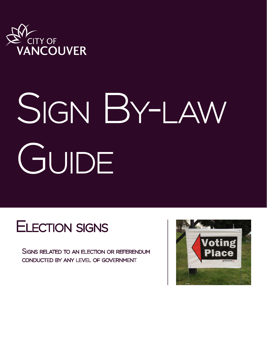

## SIGN BY-LAW GUIDE

## Election signs

Signs related to an election or referendum conducted by any level of government